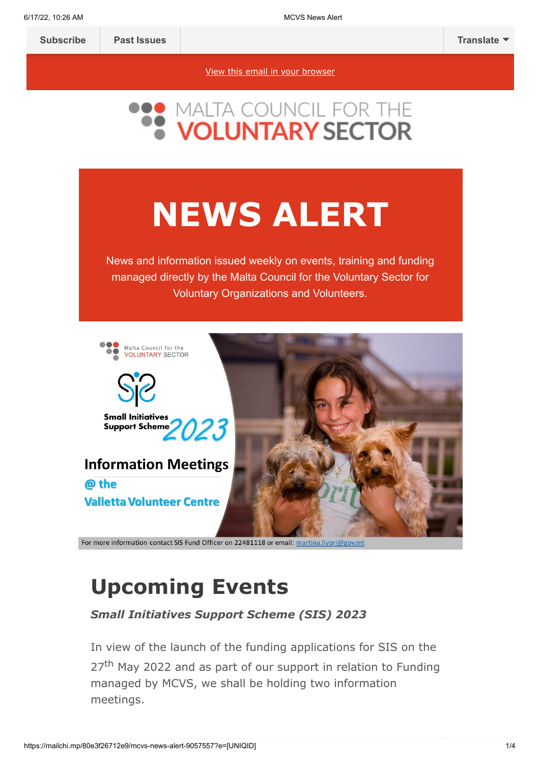[View this email in your browser](https://mailchi.mp/80e3f26712e9/mcvs-news-alert-9057557?e=[UNIQID])

# **NEWS ALERT**

News and information issued weekly on events, training and funding managed directly by the Malta Council for the Voluntary Sector for Voluntary Organizations and Volunteers.



For more information contact SIS Fund Officer on 22481118 or email: martina.livori@gov.mt

# **Upcoming Events**

*Small Initiatives Support Scheme (SIS) 2023*

In view of the launch of the funding applications for SIS on the 27<sup>th</sup> May 2022 and as part of our support in relation to Funding managed by MCVS, we shall be holding two information meetings.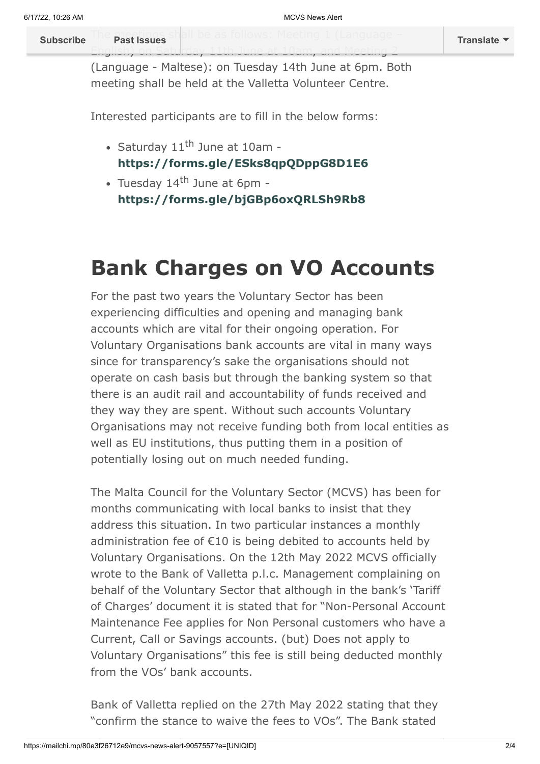T[he meetings sh](https://us14.campaign-archive.com/home/?u=683cbfbd88de4de43adbf2d29&id=2f83d2c47d)all be as follows: Meeting 1 (Language – **[Subscribe](http://eepurl.com/h2Pv5b) Past Issues [Translate](javascript:;)**

(Language - Maltese): on Tuesday 14th June at 6pm. Both meeting shall be held at the Valletta Volunteer Centre.

English) on Saturday 11th June at 10am, and Meeting 2

Interested participants are to fill in the below forms:

- Saturday  $11^{\text{th}}$  June at 10am **<https://forms.gle/ESks8qpQDppG8D1E6>**
- Tuesday 14<sup>th</sup> June at 6pm **<https://forms.gle/bjGBp6oxQRLSh9Rb8>**

### **Bank Charges on VO Accounts**

For the past two years the Voluntary Sector has been experiencing difficulties and opening and managing bank accounts which are vital for their ongoing operation. For Voluntary Organisations bank accounts are vital in many ways since for transparency's sake the organisations should not operate on cash basis but through the banking system so that there is an audit rail and accountability of funds received and they way they are spent. Without such accounts Voluntary Organisations may not receive funding both from local entities as well as EU institutions, thus putting them in a position of potentially losing out on much needed funding.

The Malta Council for the Voluntary Sector (MCVS) has been for months communicating with local banks to insist that they address this situation. In two particular instances a monthly administration fee of €10 is being debited to accounts held by Voluntary Organisations. On the 12th May 2022 MCVS officially wrote to the Bank of Valletta p.l.c. Management complaining on behalf of the Voluntary Sector that although in the bank's 'Tariff of Charges' document it is stated that for "Non-Personal Account Maintenance Fee applies for Non Personal customers who have a Current, Call or Savings accounts. (but) Does not apply to Voluntary Organisations" this fee is still being deducted monthly from the VOs' bank accounts.

Bank of Valletta replied on the 27th May 2022 stating that they "confirm the stance to waive the fees to VOs". The Bank stated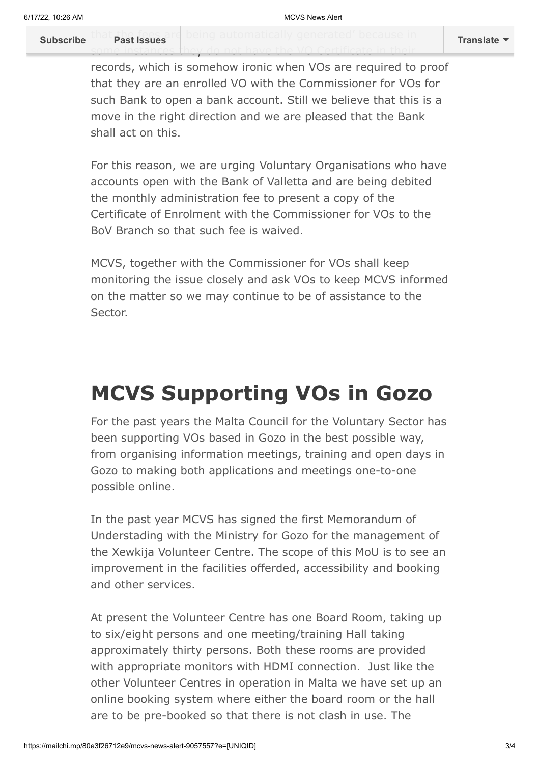t[hat the fees are](https://us14.campaign-archive.com/home/?u=683cbfbd88de4de43adbf2d29&id=2f83d2c47d) being automatically generated' because in **[Subscribe](http://eepurl.com/h2Pv5b) Past Issues [Translate](javascript:;)**

some instances they do not have the VO Certificate in their

records, which is somehow ironic when VOs are required to proof that they are an enrolled VO with the Commissioner for VOs for such Bank to open a bank account. Still we believe that this is a move in the right direction and we are pleased that the Bank shall act on this.

For this reason, we are urging Voluntary Organisations who have accounts open with the Bank of Valletta and are being debited the monthly administration fee to present a copy of the Certificate of Enrolment with the Commissioner for VOs to the BoV Branch so that such fee is waived.

MCVS, together with the Commissioner for VOs shall keep monitoring the issue closely and ask VOs to keep MCVS informed on the matter so we may continue to be of assistance to the Sector.

# **MCVS Supporting VOs in Gozo**

For the past years the Malta Council for the Voluntary Sector has been supporting VOs based in Gozo in the best possible way, from organising information meetings, training and open days in Gozo to making both applications and meetings one-to-one possible online.

In the past year MCVS has signed the first Memorandum of Understading with the Ministry for Gozo for the management of the Xewkija Volunteer Centre. The scope of this MoU is to see an improvement in the facilities offerded, accessibility and booking and other services.

At present the Volunteer Centre has one Board Room, taking up to six/eight persons and one meeting/training Hall taking approximately thirty persons. Both these rooms are provided with appropriate monitors with HDMI connection. Just like the other Volunteer Centres in operation in Malta we have set up an online booking system where either the board room or the hall are to be pre-booked so that there is not clash in use. The